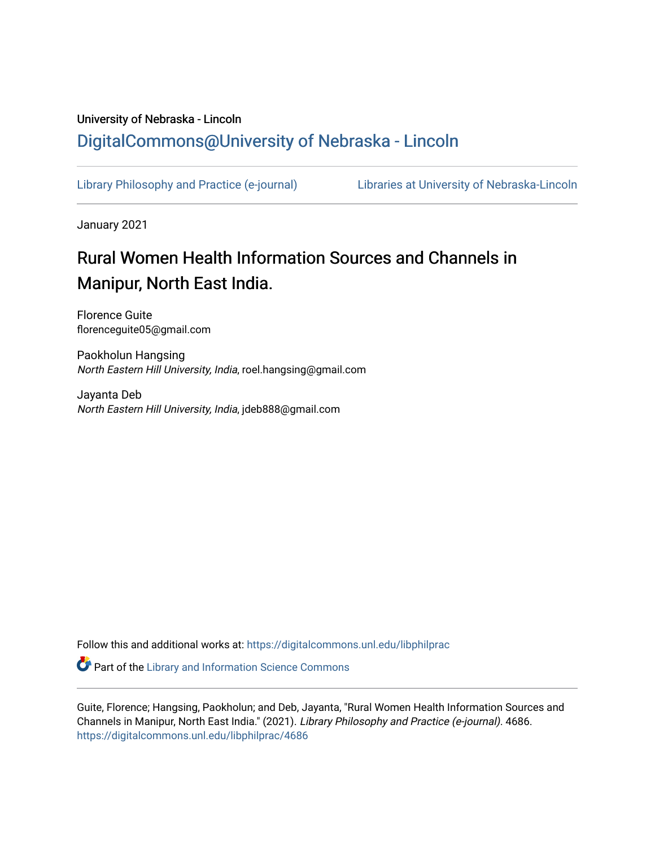# University of Nebraska - Lincoln [DigitalCommons@University of Nebraska - Lincoln](https://digitalcommons.unl.edu/)

[Library Philosophy and Practice \(e-journal\)](https://digitalcommons.unl.edu/libphilprac) [Libraries at University of Nebraska-Lincoln](https://digitalcommons.unl.edu/libraries) 

January 2021

# Rural Women Health Information Sources and Channels in Manipur, North East India.

Florence Guite florenceguite05@gmail.com

Paokholun Hangsing North Eastern Hill University, India, roel.hangsing@gmail.com

Jayanta Deb North Eastern Hill University, India, jdeb888@gmail.com

Follow this and additional works at: [https://digitalcommons.unl.edu/libphilprac](https://digitalcommons.unl.edu/libphilprac?utm_source=digitalcommons.unl.edu%2Flibphilprac%2F4686&utm_medium=PDF&utm_campaign=PDFCoverPages) 

**C** Part of the Library and Information Science Commons

Guite, Florence; Hangsing, Paokholun; and Deb, Jayanta, "Rural Women Health Information Sources and Channels in Manipur, North East India." (2021). Library Philosophy and Practice (e-journal). 4686. [https://digitalcommons.unl.edu/libphilprac/4686](https://digitalcommons.unl.edu/libphilprac/4686?utm_source=digitalcommons.unl.edu%2Flibphilprac%2F4686&utm_medium=PDF&utm_campaign=PDFCoverPages)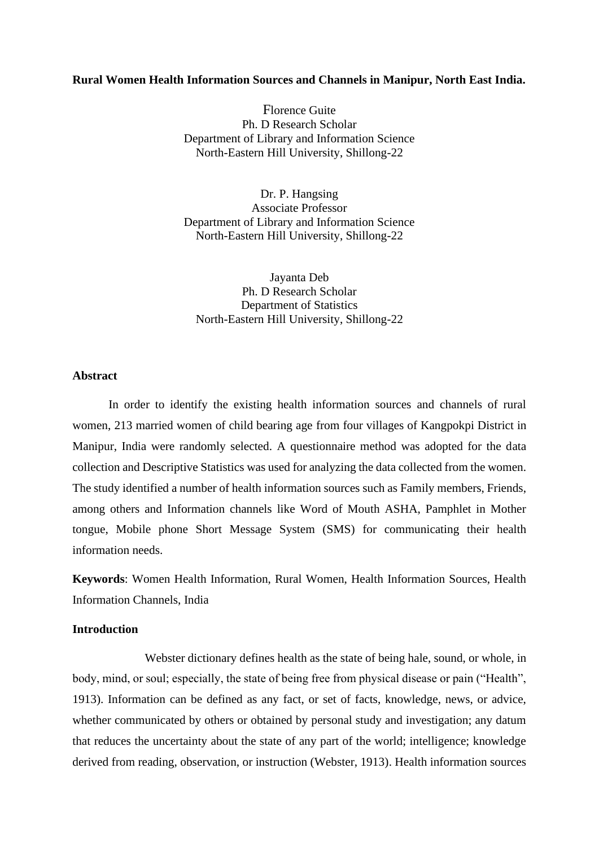#### **Rural Women Health Information Sources and Channels in Manipur, North East India.**

Florence Guite Ph. D Research Scholar Department of Library and Information Science North-Eastern Hill University, Shillong-22

Dr. P. Hangsing Associate Professor Department of Library and Information Science North-Eastern Hill University, Shillong-22

Jayanta Deb Ph. D Research Scholar Department of Statistics North-Eastern Hill University, Shillong-22

#### **Abstract**

In order to identify the existing health information sources and channels of rural women, 213 married women of child bearing age from four villages of Kangpokpi District in Manipur, India were randomly selected. A questionnaire method was adopted for the data collection and Descriptive Statistics was used for analyzing the data collected from the women. The study identified a number of health information sources such as Family members, Friends, among others and Information channels like Word of Mouth ASHA, Pamphlet in Mother tongue, Mobile phone Short Message System (SMS) for communicating their health information needs.

**Keywords**: Women Health Information, Rural Women, Health Information Sources, Health Information Channels, India

#### **Introduction**

Webster dictionary defines health as the state of being hale, sound, or whole, in body, mind, or soul; especially, the state of being free from physical disease or pain ("Health", 1913). Information can be defined as any fact, or set of facts, knowledge, news, or advice, whether communicated by others or obtained by personal study and investigation; any datum that reduces the uncertainty about the state of any part of the world; intelligence; knowledge derived from reading, observation, or instruction (Webster, 1913). Health information sources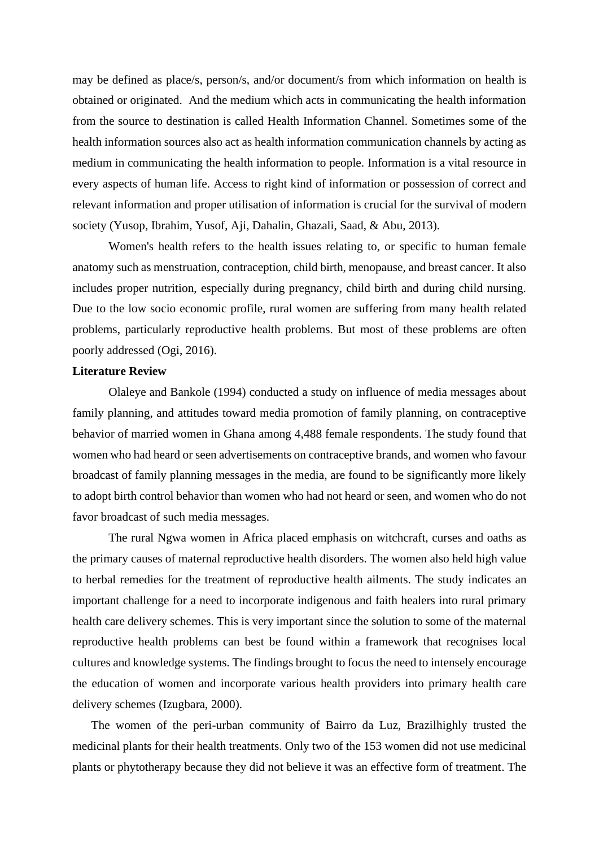may be defined as place/s, person/s, and/or document/s from which information on health is obtained or originated. And the medium which acts in communicating the health information from the source to destination is called Health Information Channel. Sometimes some of the health information sources also act as health information communication channels by acting as medium in communicating the health information to people. Information is a vital resource in every aspects of human life. Access to right kind of information or possession of correct and relevant information and proper utilisation of information is crucial for the survival of modern society (Yusop, Ibrahim, Yusof, Aji, Dahalin, Ghazali, Saad, & Abu, 2013).

Women's health refers to the health issues relating to, or specific to human female anatomy such as menstruation, contraception, child birth, menopause, and breast cancer. It also includes proper nutrition, especially during pregnancy, child birth and during child nursing. Due to the low socio economic profile, rural women are suffering from many health related problems, particularly reproductive health problems. But most of these problems are often poorly addressed (Ogi, 2016).

#### **Literature Review**

Olaleye and Bankole (1994) conducted a study on influence of media messages about family planning, and attitudes toward media promotion of family planning, on contraceptive behavior of married women in Ghana among 4,488 female respondents. The study found that women who had heard or seen advertisements on contraceptive brands, and women who favour broadcast of family planning messages in the media, are found to be significantly more likely to adopt birth control behavior than women who had not heard or seen, and women who do not favor broadcast of such media messages.

The rural Ngwa women in Africa placed emphasis on witchcraft, curses and oaths as the primary causes of maternal reproductive health disorders. The women also held high value to herbal remedies for the treatment of reproductive health ailments. The study indicates an important challenge for a need to incorporate indigenous and faith healers into rural primary health care delivery schemes. This is very important since the solution to some of the maternal reproductive health problems can best be found within a framework that recognises local cultures and knowledge systems. The findings brought to focus the need to intensely encourage the education of women and incorporate various health providers into primary health care delivery schemes (Izugbara, 2000).

The women of the peri-urban community of Bairro da Luz, Brazilhighly trusted the medicinal plants for their health treatments. Only two of the 153 women did not use medicinal plants or phytotherapy because they did not believe it was an effective form of treatment. The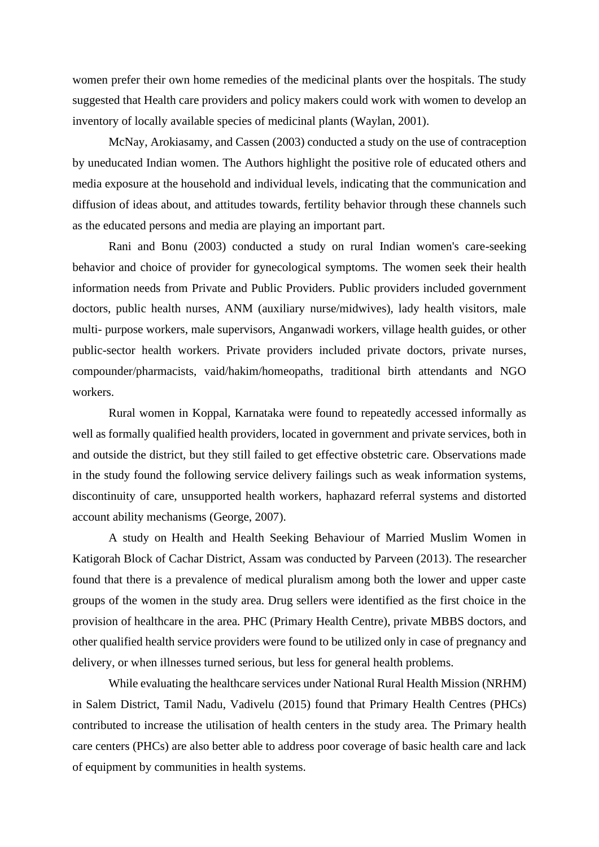women prefer their own home remedies of the medicinal plants over the hospitals. The study suggested that Health care providers and policy makers could work with women to develop an inventory of locally available species of medicinal plants (Waylan, 2001).

McNay, Arokiasamy, and Cassen (2003) conducted a study on the use of contraception by uneducated Indian women. The Authors highlight the positive role of educated others and media exposure at the household and individual levels, indicating that the communication and diffusion of ideas about, and attitudes towards, fertility behavior through these channels such as the educated persons and media are playing an important part.

Rani and Bonu (2003) conducted a study on rural Indian women's care-seeking behavior and choice of provider for gynecological symptoms. The women seek their health information needs from Private and Public Providers. Public providers included government doctors, public health nurses, ANM (auxiliary nurse/midwives), lady health visitors, male multi- purpose workers, male supervisors, Anganwadi workers, village health guides, or other public-sector health workers. Private providers included private doctors, private nurses, compounder/pharmacists, vaid/hakim/homeopaths, traditional birth attendants and NGO workers.

Rural women in Koppal, Karnataka were found to repeatedly accessed informally as well as formally qualified health providers, located in government and private services, both in and outside the district, but they still failed to get effective obstetric care. Observations made in the study found the following service delivery failings such as weak information systems, discontinuity of care, unsupported health workers, haphazard referral systems and distorted account ability mechanisms (George, 2007).

A study on Health and Health Seeking Behaviour of Married Muslim Women in Katigorah Block of Cachar District, Assam was conducted by Parveen (2013). The researcher found that there is a prevalence of medical pluralism among both the lower and upper caste groups of the women in the study area. Drug sellers were identified as the first choice in the provision of healthcare in the area. PHC (Primary Health Centre), private MBBS doctors, and other qualified health service providers were found to be utilized only in case of pregnancy and delivery, or when illnesses turned serious, but less for general health problems.

While evaluating the healthcare services under National Rural Health Mission (NRHM) in Salem District, Tamil Nadu, Vadivelu (2015) found that Primary Health Centres (PHCs) contributed to increase the utilisation of health centers in the study area. The Primary health care centers (PHCs) are also better able to address poor coverage of basic health care and lack of equipment by communities in health systems.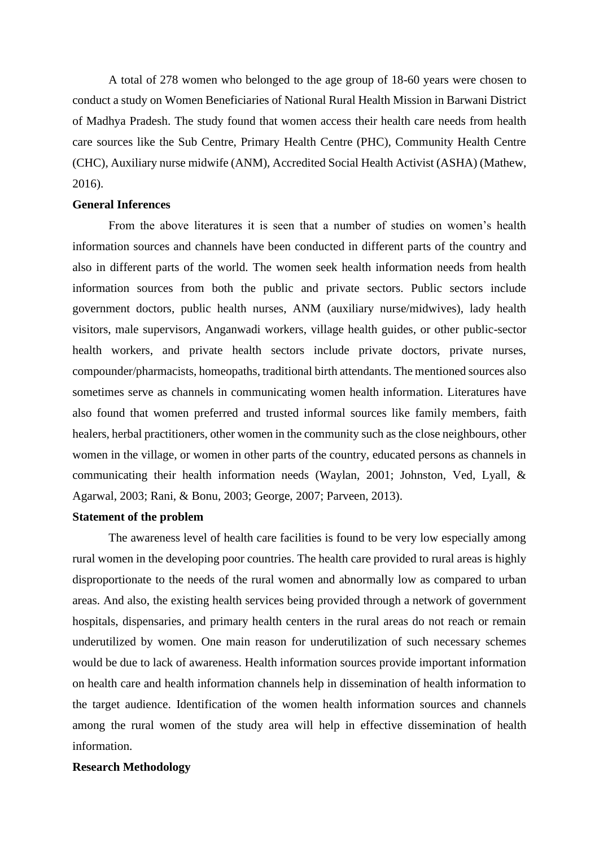A total of 278 women who belonged to the age group of 18-60 years were chosen to conduct a study on Women Beneficiaries of National Rural Health Mission in Barwani District of Madhya Pradesh. The study found that women access their health care needs from health care sources like the Sub Centre, Primary Health Centre (PHC), Community Health Centre (CHC), Auxiliary nurse midwife (ANM), Accredited Social Health Activist (ASHA) (Mathew, 2016).

#### **General Inferences**

From the above literatures it is seen that a number of studies on women's health information sources and channels have been conducted in different parts of the country and also in different parts of the world. The women seek health information needs from health information sources from both the public and private sectors. Public sectors include government doctors, public health nurses, ANM (auxiliary nurse/midwives), lady health visitors, male supervisors, Anganwadi workers, village health guides, or other public-sector health workers, and private health sectors include private doctors, private nurses, compounder/pharmacists, homeopaths, traditional birth attendants. The mentioned sources also sometimes serve as channels in communicating women health information. Literatures have also found that women preferred and trusted informal sources like family members, faith healers, herbal practitioners, other women in the community such as the close neighbours, other women in the village, or women in other parts of the country, educated persons as channels in communicating their health information needs (Waylan, 2001; Johnston, Ved, Lyall, & Agarwal, 2003; Rani, & Bonu, 2003; George, 2007; Parveen, 2013).

#### **Statement of the problem**

The awareness level of health care facilities is found to be very low especially among rural women in the developing poor countries. The health care provided to rural areas is highly disproportionate to the needs of the rural women and abnormally low as compared to urban areas. And also, the existing health services being provided through a network of government hospitals, dispensaries, and primary health centers in the rural areas do not reach or remain underutilized by women. One main reason for underutilization of such necessary schemes would be due to lack of awareness. Health information sources provide important information on health care and health information channels help in dissemination of health information to the target audience. Identification of the women health information sources and channels among the rural women of the study area will help in effective dissemination of health information.

#### **Research Methodology**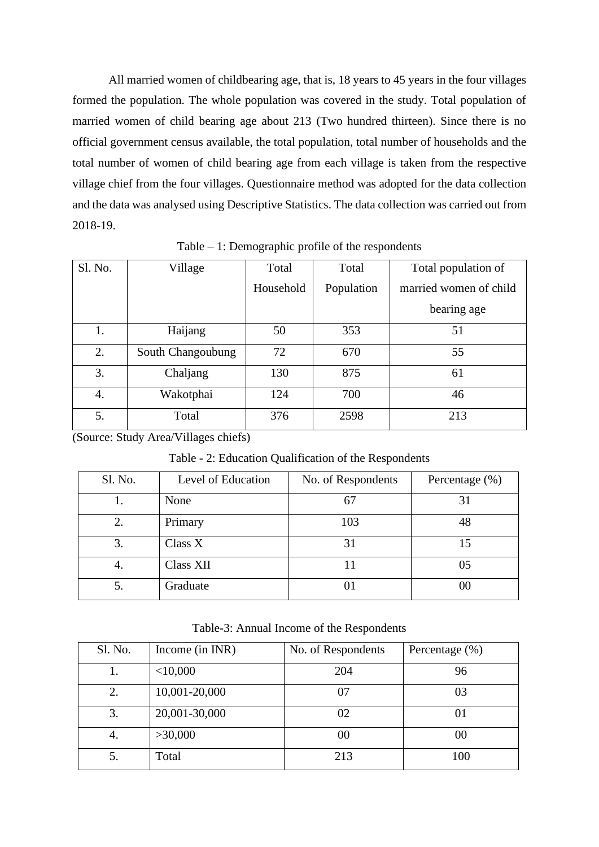All married women of childbearing age, that is, 18 years to 45 years in the four villages formed the population. The whole population was covered in the study. Total population of married women of child bearing age about 213 (Two hundred thirteen). Since there is no official government census available, the total population, total number of households and the total number of women of child bearing age from each village is taken from the respective village chief from the four villages. Questionnaire method was adopted for the data collection and the data was analysed using Descriptive Statistics. The data collection was carried out from 2018-19.

| Sl. No. | Village           | Total     | Total      | Total population of    |
|---------|-------------------|-----------|------------|------------------------|
|         |                   | Household | Population | married women of child |
|         |                   |           |            | bearing age            |
| 1.      | Haijang           | 50        | 353        | 51                     |
| 2.      | South Changoubung | 72        | 670        | 55                     |
| 3.      | Chaljang          | 130       | 875        | 61                     |
| 4.      | Wakotphai         | 124       | 700        | 46                     |
| 5.      | Total             | 376       | 2598       | 213                    |

Table – 1: Demographic profile of the respondents

(Source: Study Area/Villages chiefs)

Table - 2: Education Qualification of the Respondents

| Sl. No. | Level of Education | No. of Respondents | Percentage $(\% )$ |
|---------|--------------------|--------------------|--------------------|
|         | None               | 67                 | 31                 |
| 2.      | Primary            | 103                | 48                 |
| 3.      | Class X            | 31                 | 15                 |
| 4.      | Class XII          |                    | 05                 |
| 5.      | Graduate           |                    | ЭO                 |

Table-3: Annual Income of the Respondents

| Sl. No. | Income (in INR) | No. of Respondents | Percentage $(\%)$ |
|---------|-----------------|--------------------|-------------------|
| Ī.      | $<$ 10,000      | 204                | 96                |
| 2.      | 10,001-20,000   | 07                 | 03                |
| 3.      | 20,001-30,000   | 02                 | 01                |
| 4.      | >30,000         | $00\,$             | $00\,$            |
| 5.      | Total           | 213                | 100               |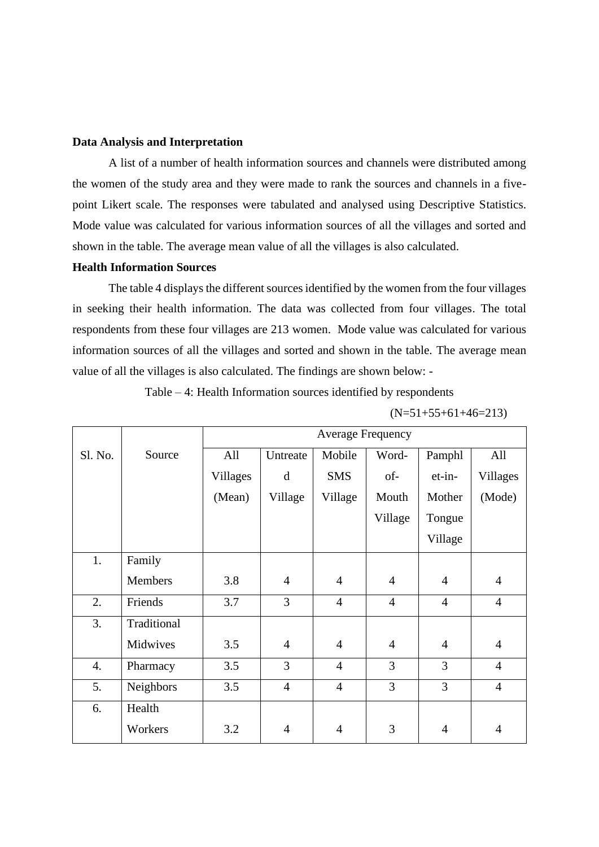#### **Data Analysis and Interpretation**

A list of a number of health information sources and channels were distributed among the women of the study area and they were made to rank the sources and channels in a fivepoint Likert scale. The responses were tabulated and analysed using Descriptive Statistics. Mode value was calculated for various information sources of all the villages and sorted and shown in the table. The average mean value of all the villages is also calculated.

#### **Health Information Sources**

The table 4 displays the different sources identified by the women from the four villages in seeking their health information. The data was collected from four villages. The total respondents from these four villages are 213 women. Mode value was calculated for various information sources of all the villages and sorted and shown in the table. The average mean value of all the villages is also calculated. The findings are shown below: -

Table – 4: Health Information sources identified by respondents

|         |             |                 | <b>Average Frequency</b> |                |                |                |                 |
|---------|-------------|-----------------|--------------------------|----------------|----------------|----------------|-----------------|
| Sl. No. | Source      | All             | Untreate                 | Mobile         | Word-          | Pamphl         | All             |
|         |             | <b>Villages</b> | d                        | <b>SMS</b>     | of-            | et-in-         | <b>Villages</b> |
|         |             | (Mean)          | Village                  | Village        | Mouth          | Mother         | (Mode)          |
|         |             |                 |                          |                | Village        | Tongue         |                 |
|         |             |                 |                          |                |                | Village        |                 |
| 1.      | Family      |                 |                          |                |                |                |                 |
|         | Members     | 3.8             | $\overline{4}$           | $\overline{4}$ | $\overline{4}$ | $\overline{4}$ | $\overline{4}$  |
| 2.      | Friends     | 3.7             | 3                        | $\overline{4}$ | $\overline{4}$ | $\overline{4}$ | $\overline{4}$  |
| 3.      | Traditional |                 |                          |                |                |                |                 |
|         | Midwives    | 3.5             | $\overline{4}$           | $\overline{4}$ | $\overline{4}$ | $\overline{4}$ | $\overline{4}$  |
| 4.      | Pharmacy    | 3.5             | $\overline{3}$           | $\overline{4}$ | 3              | $\overline{3}$ | $\overline{4}$  |
| 5.      | Neighbors   | 3.5             | $\overline{4}$           | $\overline{4}$ | $\overline{3}$ | $\overline{3}$ | $\overline{4}$  |
| 6.      | Health      |                 |                          |                |                |                |                 |
|         | Workers     | 3.2             | $\overline{4}$           | 4              | 3              | 4              | $\overline{4}$  |

 $(N=51+55+61+46=213)$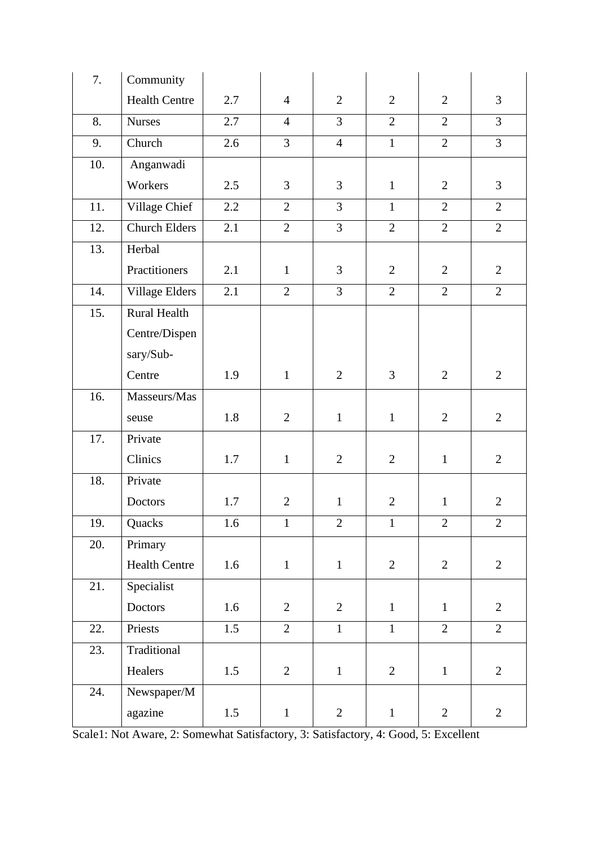| 7.  | Community             |         |                |                |                |                |                |
|-----|-----------------------|---------|----------------|----------------|----------------|----------------|----------------|
|     | <b>Health Centre</b>  | 2.7     | $\overline{4}$ | $\overline{2}$ | $\overline{2}$ | $\overline{2}$ | 3              |
| 8.  | <b>Nurses</b>         | 2.7     | $\overline{4}$ | 3              | $\overline{2}$ | $\overline{2}$ | 3              |
| 9.  | Church                | 2.6     | $\overline{3}$ | $\overline{4}$ | $\mathbf{1}$   | $\overline{2}$ | $\overline{3}$ |
| 10. | Anganwadi             |         |                |                |                |                |                |
|     | Workers               | 2.5     | 3              | 3              | $\mathbf{1}$   | $\overline{2}$ | 3              |
| 11. | Village Chief         | 2.2     | $\overline{2}$ | 3              | $\mathbf{1}$   | $\overline{2}$ | $\overline{2}$ |
| 12. | <b>Church Elders</b>  | 2.1     | $\overline{2}$ | $\overline{3}$ | $\overline{2}$ | $\overline{2}$ | $\overline{2}$ |
| 13. | Herbal                |         |                |                |                |                |                |
|     | Practitioners         | 2.1     | $\mathbf{1}$   | 3              | $\overline{2}$ | $\overline{2}$ | $\mathbf{2}$   |
| 14. | <b>Village Elders</b> | 2.1     | $\overline{2}$ | 3              | $\overline{2}$ | $\overline{2}$ | $\overline{2}$ |
| 15. | <b>Rural Health</b>   |         |                |                |                |                |                |
|     | Centre/Dispen         |         |                |                |                |                |                |
|     | sary/Sub-             |         |                |                |                |                |                |
|     | Centre                | 1.9     | $\mathbf{1}$   | $\overline{2}$ | $\overline{3}$ | $\overline{2}$ | $\mathbf{2}$   |
| 16. | Masseurs/Mas          |         |                |                |                |                |                |
|     | seuse                 | 1.8     | $\overline{2}$ | $\mathbf{1}$   | $\mathbf{1}$   | $\overline{2}$ | $\overline{2}$ |
| 17. | Private               |         |                |                |                |                |                |
|     | Clinics               | 1.7     | $\mathbf{1}$   | $\overline{2}$ | $\overline{2}$ | $\mathbf{1}$   | $\overline{2}$ |
| 18. | Private               |         |                |                |                |                |                |
|     | <b>Doctors</b>        | 1.7     | $\overline{2}$ | $\mathbf{1}$   | $\overline{2}$ | $\mathbf{1}$   | $\mathbf{2}$   |
| 19. | Quacks                | $1.6\,$ | $\mathbf{1}$   | $\overline{2}$ | $\mathbf{1}$   | $\overline{2}$ | $\mathbf{2}$   |
| 20. | Primary               |         |                |                |                |                |                |
|     | <b>Health Centre</b>  | 1.6     | $\mathbf{1}$   | $\mathbf{1}$   | $\overline{2}$ | $\overline{2}$ | $\overline{2}$ |
| 21. | Specialist            |         |                |                |                |                |                |
|     | Doctors               | 1.6     | $\overline{2}$ | $\overline{2}$ | $\mathbf{1}$   | $\mathbf{1}$   | $\overline{2}$ |
| 22. | Priests               | 1.5     | $\overline{2}$ | $\mathbf{1}$   | $\mathbf{1}$   | $\overline{2}$ | $\overline{2}$ |
| 23. | Traditional           |         |                |                |                |                |                |
|     | Healers               | 1.5     | $\mathbf{2}$   | $\,1\,$        | $\overline{2}$ | $\mathbf 1$    | $\overline{2}$ |
| 24. | Newspaper/M           |         |                |                |                |                |                |
|     | agazine               | 1.5     | $\mathbf{1}$   | $\overline{2}$ | $\mathbf{1}$   | $\overline{2}$ | $\overline{2}$ |

Scale1: Not Aware, 2: Somewhat Satisfactory, 3: Satisfactory, 4: Good, 5: Excellent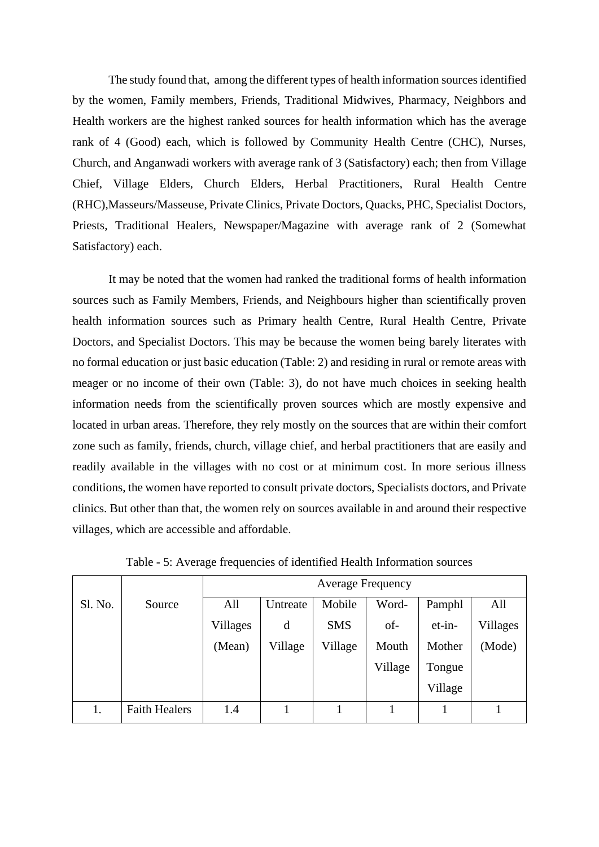The study found that, among the different types of health information sources identified by the women, Family members, Friends, Traditional Midwives, Pharmacy, Neighbors and Health workers are the highest ranked sources for health information which has the average rank of 4 (Good) each, which is followed by Community Health Centre (CHC), Nurses, Church, and Anganwadi workers with average rank of 3 (Satisfactory) each; then from Village Chief, Village Elders, Church Elders, Herbal Practitioners, Rural Health Centre (RHC),Masseurs/Masseuse, Private Clinics, Private Doctors, Quacks, PHC, Specialist Doctors, Priests, Traditional Healers, Newspaper/Magazine with average rank of 2 (Somewhat Satisfactory) each.

It may be noted that the women had ranked the traditional forms of health information sources such as Family Members, Friends, and Neighbours higher than scientifically proven health information sources such as Primary health Centre, Rural Health Centre, Private Doctors, and Specialist Doctors. This may be because the women being barely literates with no formal education or just basic education (Table: 2) and residing in rural or remote areas with meager or no income of their own (Table: 3), do not have much choices in seeking health information needs from the scientifically proven sources which are mostly expensive and located in urban areas. Therefore, they rely mostly on the sources that are within their comfort zone such as family, friends, church, village chief, and herbal practitioners that are easily and readily available in the villages with no cost or at minimum cost. In more serious illness conditions, the women have reported to consult private doctors, Specialists doctors, and Private clinics. But other than that, the women rely on sources available in and around their respective villages, which are accessible and affordable.

|         |                      | <b>Average Frequency</b> |          |            |         |         |          |
|---------|----------------------|--------------------------|----------|------------|---------|---------|----------|
| Sl. No. | Source               | All                      | Untreate | Mobile     | Word-   | Pamphl  | All      |
|         |                      | Villages                 | d        | <b>SMS</b> | of-     | et-in-  | Villages |
|         |                      | (Mean)                   | Village  | Village    | Mouth   | Mother  | (Mode)   |
|         |                      |                          |          |            | Village | Tongue  |          |
|         |                      |                          |          |            |         | Village |          |
| 1.      | <b>Faith Healers</b> | 1.4                      |          |            |         |         |          |

Table - 5: Average frequencies of identified Health Information sources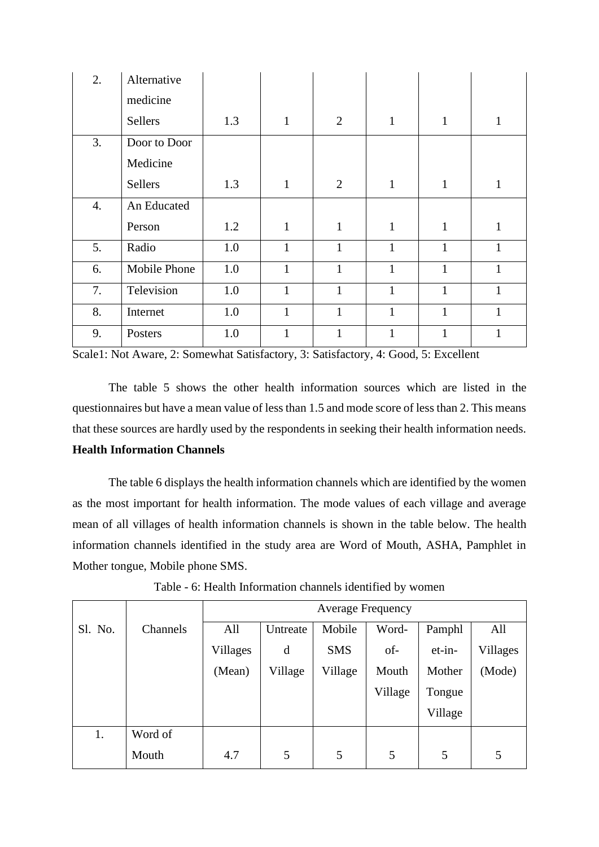| 2. | Alternative  |     |              |                |              |              |              |
|----|--------------|-----|--------------|----------------|--------------|--------------|--------------|
|    | medicine     |     |              |                |              |              |              |
|    | Sellers      | 1.3 | 1            | $\overline{2}$ | $\mathbf{1}$ | $\mathbf{1}$ | $\mathbf{1}$ |
| 3. | Door to Door |     |              |                |              |              |              |
|    | Medicine     |     |              |                |              |              |              |
|    | Sellers      | 1.3 | $\mathbf{1}$ | $\overline{2}$ | $\mathbf{1}$ | $\mathbf{1}$ | $\mathbf{1}$ |
| 4. | An Educated  |     |              |                |              |              |              |
|    | Person       | 1.2 | $\mathbf{1}$ | $\mathbf{1}$   | $\mathbf{1}$ | $\mathbf{1}$ | $\mathbf{1}$ |
| 5. | Radio        | 1.0 | $\mathbf{1}$ | $\mathbf{1}$   | $\mathbf{1}$ | $\mathbf{1}$ | $\mathbf{1}$ |
| 6. | Mobile Phone | 1.0 | $\mathbf{1}$ | $\mathbf{1}$   | $\mathbf{1}$ | 1            | $\mathbf{1}$ |
| 7. | Television   | 1.0 | 1            | $\mathbf{1}$   | $\mathbf{1}$ | $\mathbf{1}$ | $\mathbf{1}$ |
| 8. | Internet     | 1.0 | $\mathbf{1}$ | 1              | $\mathbf{1}$ | 1            | $\mathbf{1}$ |
| 9. | Posters      | 1.0 | 1            | 1              | $\mathbf{1}$ | 1            | $\mathbf{1}$ |

Scale1: Not Aware, 2: Somewhat Satisfactory, 3: Satisfactory, 4: Good, 5: Excellent

The table 5 shows the other health information sources which are listed in the questionnaires but have a mean value of less than 1.5 and mode score of less than 2. This means that these sources are hardly used by the respondents in seeking their health information needs.

# **Health Information Channels**

The table 6 displays the health information channels which are identified by the women as the most important for health information. The mode values of each village and average mean of all villages of health information channels is shown in the table below. The health information channels identified in the study area are Word of Mouth, ASHA, Pamphlet in Mother tongue, Mobile phone SMS.

|         |          |          | <b>Average Frequency</b> |            |         |         |          |  |
|---------|----------|----------|--------------------------|------------|---------|---------|----------|--|
| Sl. No. | Channels | All      | Untreate                 | Mobile     | Word-   | Pamphl  | All      |  |
|         |          | Villages | d                        | <b>SMS</b> | of-     | et-in-  | Villages |  |
|         |          | (Mean)   | Village                  | Village    | Mouth   | Mother  | (Mode)   |  |
|         |          |          |                          |            | Village | Tongue  |          |  |
|         |          |          |                          |            |         | Village |          |  |
| 1.      | Word of  |          |                          |            |         |         |          |  |
|         | Mouth    | 4.7      | 5                        | 5          | 5       | 5       | 5        |  |

Table - 6: Health Information channels identified by women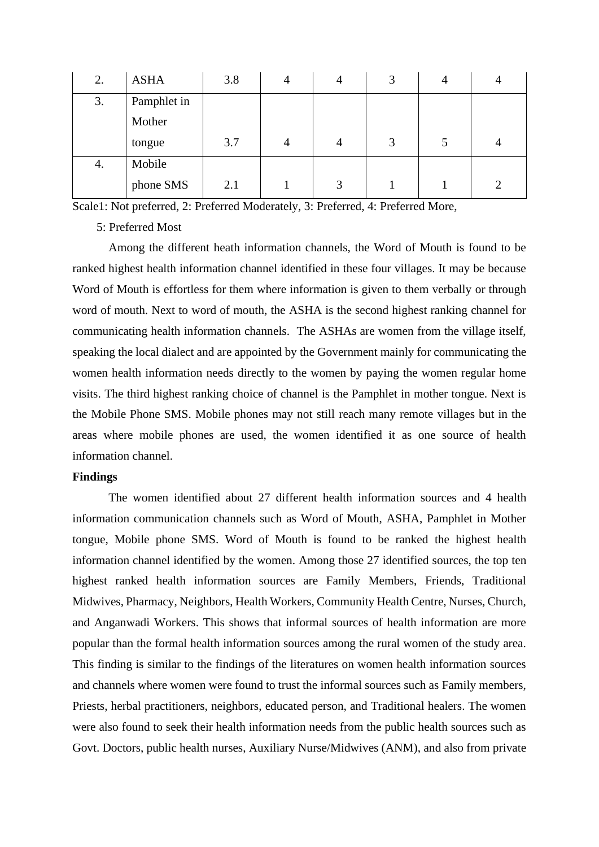| 2. | <b>ASHA</b> | 3.8 | 4              | 3 |               |
|----|-------------|-----|----------------|---|---------------|
| 3. | Pamphlet in |     |                |   |               |
|    | Mother      |     |                |   |               |
|    | tongue      | 3.7 | $\overline{4}$ | 3 |               |
| 4. | Mobile      |     |                |   |               |
|    | phone SMS   | 2.1 | 3              |   | $\mathcal{D}$ |

Scale1: Not preferred, 2: Preferred Moderately, 3: Preferred, 4: Preferred More,

5: Preferred Most

Among the different heath information channels, the Word of Mouth is found to be ranked highest health information channel identified in these four villages. It may be because Word of Mouth is effortless for them where information is given to them verbally or through word of mouth. Next to word of mouth, the ASHA is the second highest ranking channel for communicating health information channels. The ASHAs are women from the village itself, speaking the local dialect and are appointed by the Government mainly for communicating the women health information needs directly to the women by paying the women regular home visits. The third highest ranking choice of channel is the Pamphlet in mother tongue. Next is the Mobile Phone SMS. Mobile phones may not still reach many remote villages but in the areas where mobile phones are used, the women identified it as one source of health information channel.

#### **Findings**

The women identified about 27 different health information sources and 4 health information communication channels such as Word of Mouth, ASHA, Pamphlet in Mother tongue, Mobile phone SMS. Word of Mouth is found to be ranked the highest health information channel identified by the women. Among those 27 identified sources, the top ten highest ranked health information sources are Family Members, Friends, Traditional Midwives, Pharmacy, Neighbors, Health Workers, Community Health Centre, Nurses, Church, and Anganwadi Workers. This shows that informal sources of health information are more popular than the formal health information sources among the rural women of the study area. This finding is similar to the findings of the literatures on women health information sources and channels where women were found to trust the informal sources such as Family members, Priests, herbal practitioners, neighbors, educated person, and Traditional healers. The women were also found to seek their health information needs from the public health sources such as Govt. Doctors, public health nurses, Auxiliary Nurse/Midwives (ANM), and also from private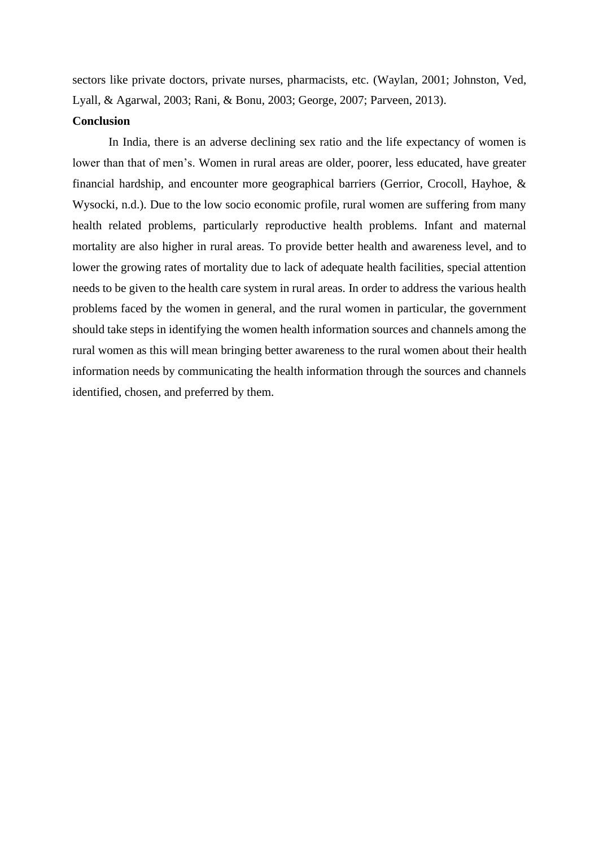sectors like private doctors, private nurses, pharmacists, etc. (Waylan, 2001; Johnston, Ved, Lyall, & Agarwal, 2003; Rani, & Bonu, 2003; George, 2007; Parveen, 2013).

#### **Conclusion**

In India, there is an adverse declining sex ratio and the life expectancy of women is lower than that of men's. Women in rural areas are older, poorer, less educated, have greater financial hardship, and encounter more geographical barriers (Gerrior, Crocoll, Hayhoe, & Wysocki, n.d.). Due to the low socio economic profile, rural women are suffering from many health related problems, particularly reproductive health problems. Infant and maternal mortality are also higher in rural areas. To provide better health and awareness level, and to lower the growing rates of mortality due to lack of adequate health facilities, special attention needs to be given to the health care system in rural areas. In order to address the various health problems faced by the women in general, and the rural women in particular, the government should take steps in identifying the women health information sources and channels among the rural women as this will mean bringing better awareness to the rural women about their health information needs by communicating the health information through the sources and channels identified, chosen, and preferred by them.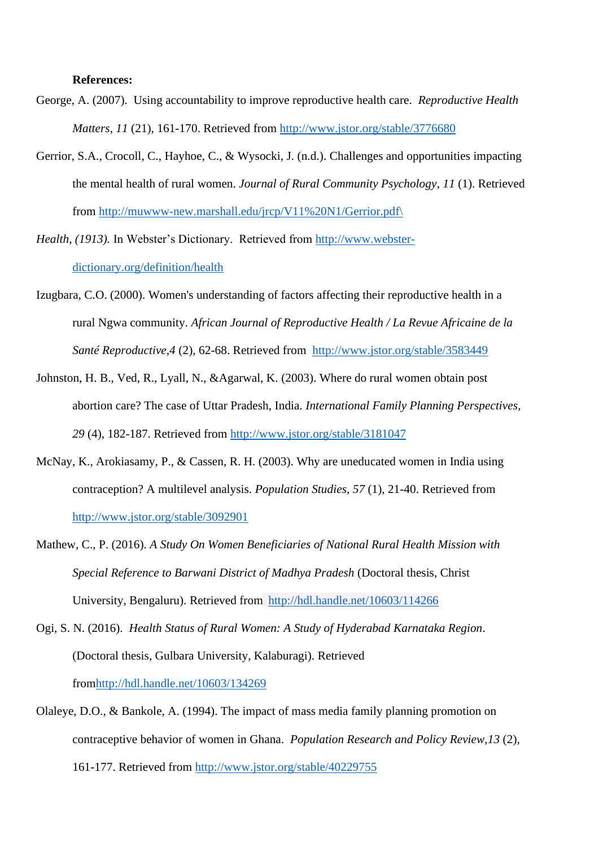#### **References:**

- George, A. (2007). Using accountability to improve reproductive health care. *Reproductive Health Matters*, *11* (21), 161-170. Retrieved from<http://www.jstor.org/stable/3776680>
- Gerrior, S.A., Crocoll, C., Hayhoe, C., & Wysocki, J. (n.d.). Challenges and opportunities impacting the mental health of rural women. *Journal of Rural Community Psychology*, *11* (1). Retrieved from [http://muwww-new.marshall.edu/jrcp/V11%20N1/Gerrior.pdf\](http://muwww-new.marshall.edu/jrcp/V11%20N1/Gerrior.pdf/)

*Health, (1913).* In Webster's Dictionary. Retrieved from [http://www.webster](http://www.webster-dictionary.org/definition/health)[dictionary.org/definition/health](http://www.webster-dictionary.org/definition/health)

- Izugbara, C.O. (2000). Women's understanding of factors affecting their reproductive health in a rural Ngwa community. *African Journal of Reproductive Health / La Revue Africaine de la Santé Reproductive,4* (2), 62-68. Retrieved from <http://www.jstor.org/stable/3583449>
- Johnston, H. B., Ved, R., Lyall, N., &Agarwal, K. (2003). Where do rural women obtain post abortion care? The case of Uttar Pradesh, India. *International Family Planning Perspectives*, *29* (4), 182-187. Retrieved from<http://www.jstor.org/stable/3181047>
- McNay, K., Arokiasamy, P., & Cassen, R. H. (2003). Why are uneducated women in India using contraception? A multilevel analysis. *Population Studies*, *57* (1), 21-40. Retrieved from <http://www.jstor.org/stable/3092901>
- Mathew, C., P. (2016). *A Study On Women Beneficiaries of National Rural Health Mission with Special Reference to Barwani District of Madhya Pradesh* (Doctoral thesis, Christ University, Bengaluru). Retrieved from <http://hdl.handle.net/10603/114266>
- Ogi, S. N. (2016). *Health Status of Rural Women: A Study of Hyderabad Karnataka Region*. (Doctoral thesis, Gulbara University, Kalaburagi). Retrieved fro[mhttp://hdl.handle.net/10603/134269](http://hdl.handle.net/10603/134269)
- Olaleye, D.O., & Bankole, A. (1994). The impact of mass media family planning promotion on contraceptive behavior of women in Ghana. *Population Research and Policy Review,13* (2), 161-177. Retrieved from<http://www.jstor.org/stable/40229755>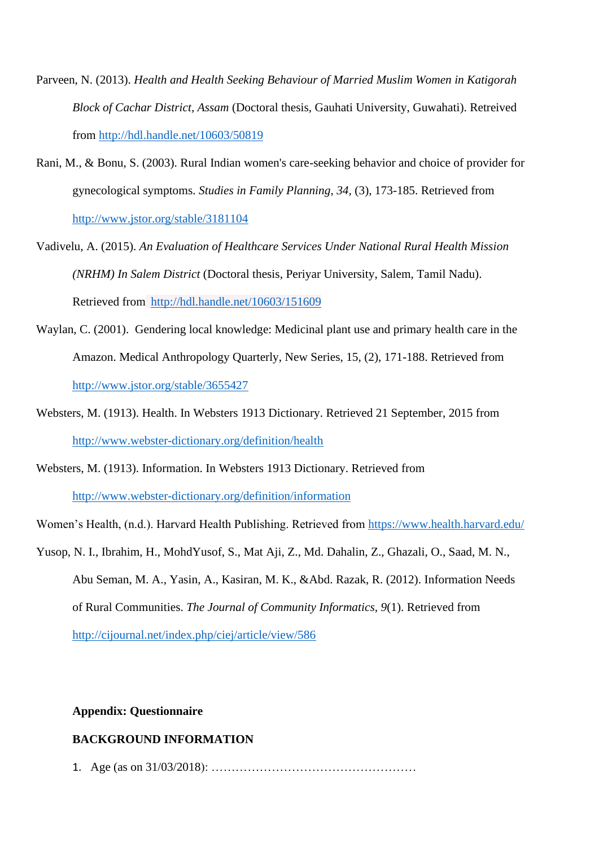- Parveen, N. (2013). *Health and Health Seeking Behaviour of Married Muslim Women in Katigorah Block of Cachar District, Assam* (Doctoral thesis, Gauhati University, Guwahati). Retreived from<http://hdl.handle.net/10603/50819>
- Rani, M., & Bonu, S. (2003). Rural Indian women's care-seeking behavior and choice of provider for gynecological symptoms. *Studies in Family Planning, 34,* (3), 173-185. Retrieved from <http://www.jstor.org/stable/3181104>
- Vadivelu, A. (2015). *An Evaluation of Healthcare Services Under National Rural Health Mission (NRHM) In Salem District* (Doctoral thesis, Periyar University, Salem, Tamil Nadu). Retrieved from <http://hdl.handle.net/10603/151609>
- Waylan, C. (2001). Gendering local knowledge: Medicinal plant use and primary health care in the Amazon. Medical Anthropology Quarterly, New Series, 15, (2), 171-188. Retrieved from <http://www.jstor.org/stable/3655427>
- Websters, M. (1913). Health. In Websters 1913 Dictionary. Retrieved 21 September, 2015 from <http://www.webster-dictionary.org/definition/health>

Websters, M. (1913). Information. In Websters 1913 Dictionary. Retrieved from <http://www.webster-dictionary.org/definition/information>

Women's Health, (n.d.). Harvard Health Publishing. Retrieved from<https://www.health.harvard.edu/>

Yusop, N. I., Ibrahim, H., MohdYusof, S., Mat Aji, Z., Md. Dahalin, Z., Ghazali, O., Saad, M. N., Abu Seman, M. A., Yasin, A., Kasiran, M. K., &Abd. Razak, R. (2012). Information Needs of Rural Communities. *The Journal of Community Informatics*, *9*(1). Retrieved from <http://cijournal.net/index.php/ciej/article/view/586>

#### **Appendix: Questionnaire**

# **BACKGROUND INFORMATION**

1. Age (as on 31/03/2018): ……………………………………………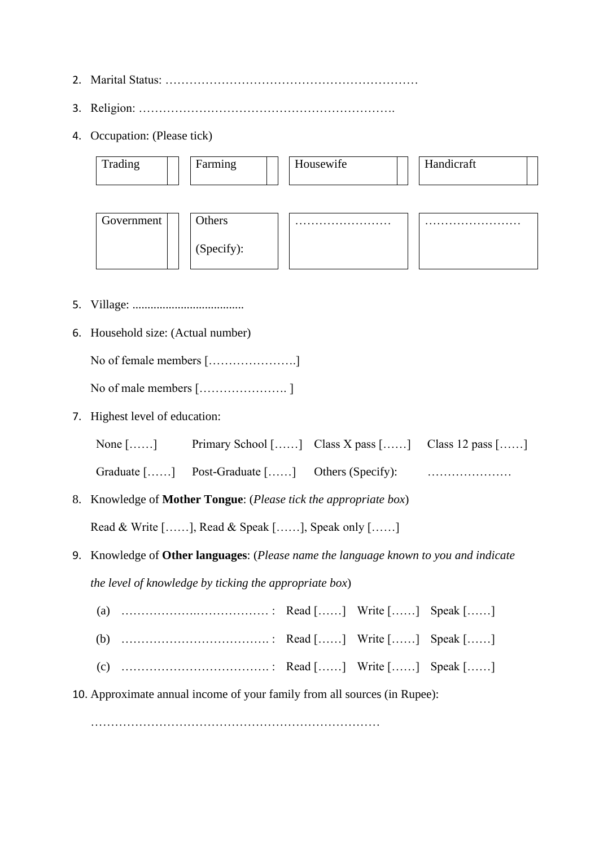- 2. Marital Status: ………………………………………………………
- 3. Religion: ……………………………………………………….
- 4. Occupation: (Please tick)

| Trading    | Farming    | Housewife | Handicraft |
|------------|------------|-----------|------------|
|            |            |           |            |
| Government | Others     | .         | .          |
|            | (Specify): |           |            |

- 5. Village: .....................................
- 6. Household size: (Actual number)

No of female members [………………….]

No of male members […………………. ]

7. Highest level of education:

| None $[\dots]$ | Primary School [] Class X pass [] Class 12 pass [] |  |
|----------------|----------------------------------------------------|--|
|                |                                                    |  |

Graduate  $[\dots]$  Post-Graduate  $[\dots]$  Others (Specify):  $[\dots]$ 

8. Knowledge of **Mother Tongue**: (*Please tick the appropriate box*)

Read & Write [……], Read & Speak [……], Speak only [……]

- 9. Knowledge of **Other languages**: (*Please name the language known to you and indicate the level of knowledge by ticking the appropriate box*)
	- (a) ……………….……………… : Read [……] Write [……] Speak [……]
	- (b) ………………………………. : Read [……] Write [……] Speak [……]
	- (c) ………………………………. : Read [……] Write [……] Speak [……]
- 10. Approximate annual income of your family from all sources (in Rupee):

………………………………………………………………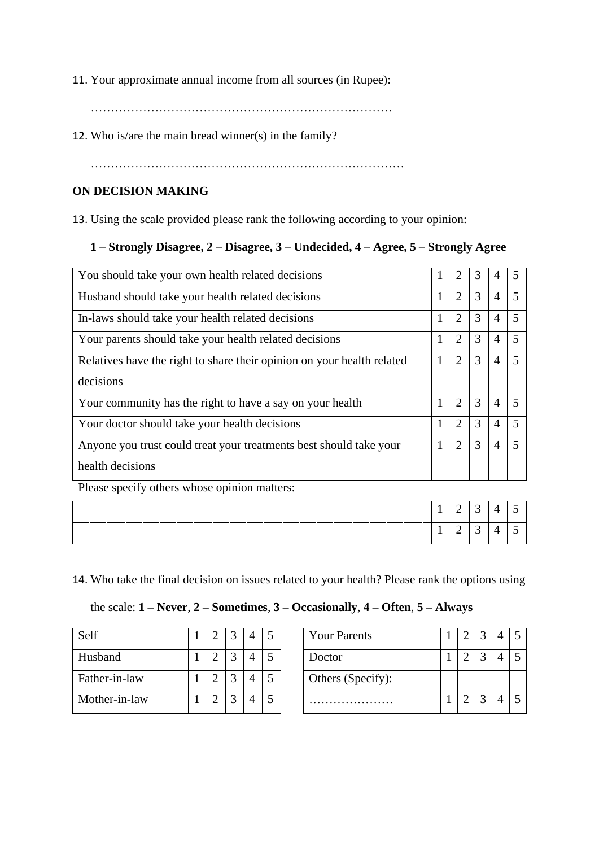11. Your approximate annual income from all sources (in Rupee):

…………………………………………………………………

12. Who is/are the main bread winner(s) in the family?

……………………………………………………………………

# **ON DECISION MAKING**

13. Using the scale provided please rank the following according to your opinion:

# **1 – Strongly Disagree, 2 – Disagree, 3 – Undecided, 4 – Agree, 5 – Strongly Agree**

| You should take your own health related decisions                      | 1            | 2              | 3 | 4              |  |
|------------------------------------------------------------------------|--------------|----------------|---|----------------|--|
| Husband should take your health related decisions                      | $\mathbf{1}$ | $\overline{2}$ | 3 | $\overline{4}$ |  |
| In-laws should take your health related decisions                      | 1            | $\overline{2}$ | 3 | $\overline{4}$ |  |
| Your parents should take your health related decisions                 | 1            | 2              | 3 | $\overline{4}$ |  |
| Relatives have the right to share their opinion on your health related | 1            | $\overline{2}$ | 3 | 4              |  |
| decisions                                                              |              |                |   |                |  |
| Your community has the right to have a say on your health              | 1            | $\overline{2}$ | 3 | 4              |  |
| Your doctor should take your health decisions                          | $\mathbf{1}$ | 2              | 3 | $\overline{4}$ |  |
| Anyone you trust could treat your treatments best should take your     | $\mathbf{1}$ | $\overline{2}$ | 3 | $\overline{4}$ |  |
| health decisions                                                       |              |                |   |                |  |
| Please specify others whose opinion matters:                           |              |                |   |                |  |

|  |   | . .             |  |
|--|---|-----------------|--|
|  | - | $\sim$ $\prime$ |  |

14. Who take the final decision on issues related to your health? Please rank the options using

the scale: **1 – Never**, **2 – Sometimes**, **3 – Occasionally**, **4 – Often**, **5 – Always**

| Self          |  |  |  | <b>Your Parents</b> |
|---------------|--|--|--|---------------------|
| Husband       |  |  |  | Doctor              |
| Father-in-law |  |  |  | Others (Specify):   |
| Mother-in-law |  |  |  |                     |

| Self          |  |        | 4              |   | <b>Your Parents</b> |  |  |  |
|---------------|--|--------|----------------|---|---------------------|--|--|--|
| Husband       |  |        | $\overline{4}$ |   | Doctor              |  |  |  |
| Father-in-law |  | $\sim$ | 4              |   | Others (Specify):   |  |  |  |
| Mother-in-law |  |        | $\overline{4}$ | 5 |                     |  |  |  |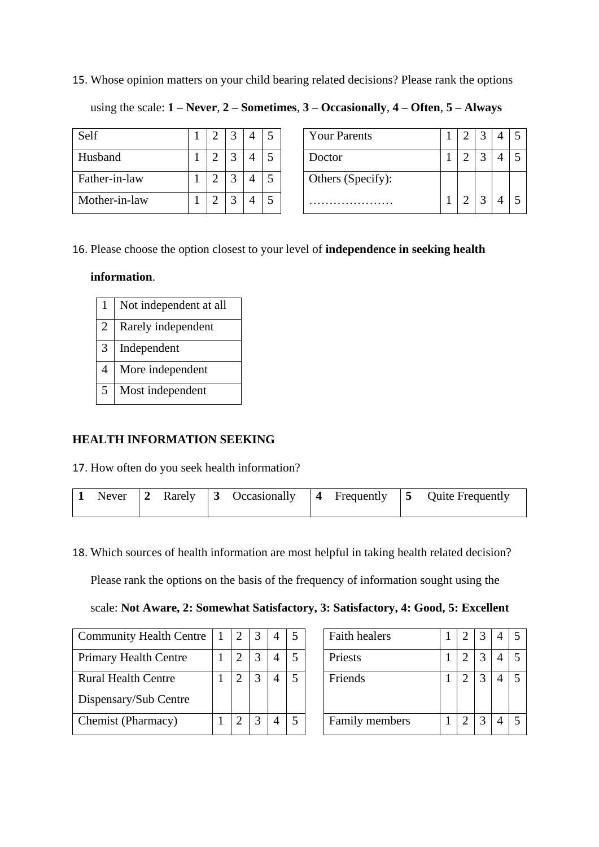#### 15. Whose opinion matters on your child bearing related decisions? Please rank the options

using the scale: **1 – Never**, **2 – Sometimes**, **3 – Occasionally**, **4 – Often**, **5 – Always**

| Self          |  |  |  | <b>Your Parents</b> |
|---------------|--|--|--|---------------------|
| Husband       |  |  |  | Doctor              |
| Father-in-law |  |  |  | Others (Specify):   |
| Mother-in-law |  |  |  |                     |

| Self          |            |        |   | ς | <b>Your Parents</b> |  |  |  |
|---------------|------------|--------|---|---|---------------------|--|--|--|
| Husband       | $\sqrt{2}$ | $\sim$ | 4 |   | Doctor              |  |  |  |
| Father-in-law | ◠          |        |   | 5 | Others (Specify):   |  |  |  |
| Mother-in-law | $\bigcap$  |        |   | ς |                     |  |  |  |

# 16. Please choose the option closest to your level of **independence in seeking health**

#### **information**.

|                | Not independent at all |
|----------------|------------------------|
| $\overline{2}$ | Rarely independent     |
| 3              | Independent            |
| $\overline{4}$ | More independent       |
| $\overline{5}$ | Most independent       |

# **HEALTH INFORMATION SEEKING**

17. How often do you seek health information?

|  |  |  |  |  |  |  |  |  | 1 Never $\begin{vmatrix} 2 \\ R \end{vmatrix}$ Rarely $\begin{vmatrix} 3 \\ R \end{vmatrix}$ Occasionally $\begin{vmatrix} 4 \\ R \end{vmatrix}$ Frequently $\begin{vmatrix} 5 \\ R \end{vmatrix}$ Quite Frequently |
|--|--|--|--|--|--|--|--|--|---------------------------------------------------------------------------------------------------------------------------------------------------------------------------------------------------------------------|
|--|--|--|--|--|--|--|--|--|---------------------------------------------------------------------------------------------------------------------------------------------------------------------------------------------------------------------|

18. Which sources of health information are most helpful in taking health related decision?

Please rank the options on the basis of the frequency of information sought using the

# scale: **Not Aware, 2: Somewhat Satisfactory, 3: Satisfactory, 4: Good, 5: Excellent**

| <b>Community Health Centre</b> |  | 4 |  | Faith healers  |  |   | - 5            |
|--------------------------------|--|---|--|----------------|--|---|----------------|
| <b>Primary Health Centre</b>   |  |   |  | Priests        |  |   | -5             |
| <b>Rural Health Centre</b>     |  |   |  | Friends        |  |   | $\overline{5}$ |
| Dispensary/Sub Centre          |  |   |  |                |  |   |                |
| Chemist (Pharmacy)             |  | 4 |  | Family members |  | ⌒ | -5             |

|  | 3 | 5 | <b>Faith healers</b> |  | 3 |  |
|--|---|---|----------------------|--|---|--|
|  |   |   | Priests              |  | 3 |  |
|  |   | 5 | Friends              |  | 3 |  |
|  |   | 5 | Family members       |  | 3 |  |